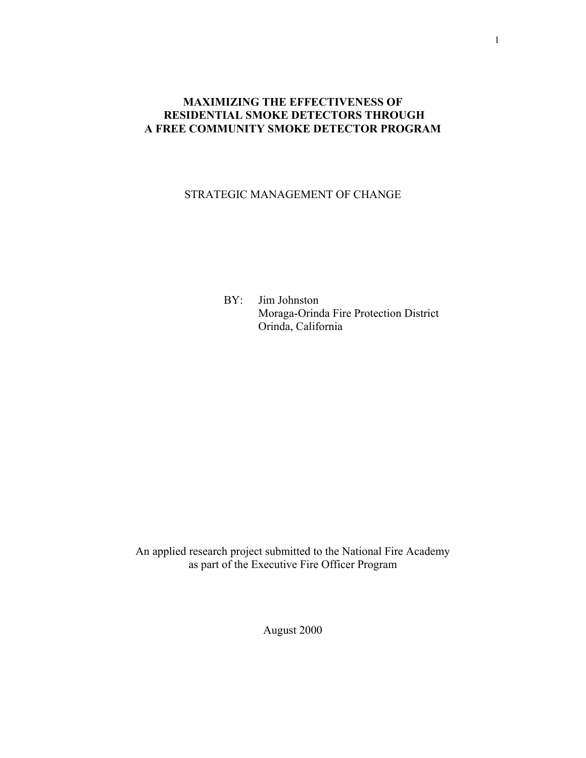# **MAXIMIZING THE EFFECTIVENESS OF RESIDENTIAL SMOKE DETECTORS THROUGH A FREE COMMUNITY SMOKE DETECTOR PROGRAM**

# STRATEGIC MANAGEMENT OF CHANGE

BY: Jim Johnston Moraga-Orinda Fire Protection District Orinda, California

An applied research project submitted to the National Fire Academy as part of the Executive Fire Officer Program

August 2000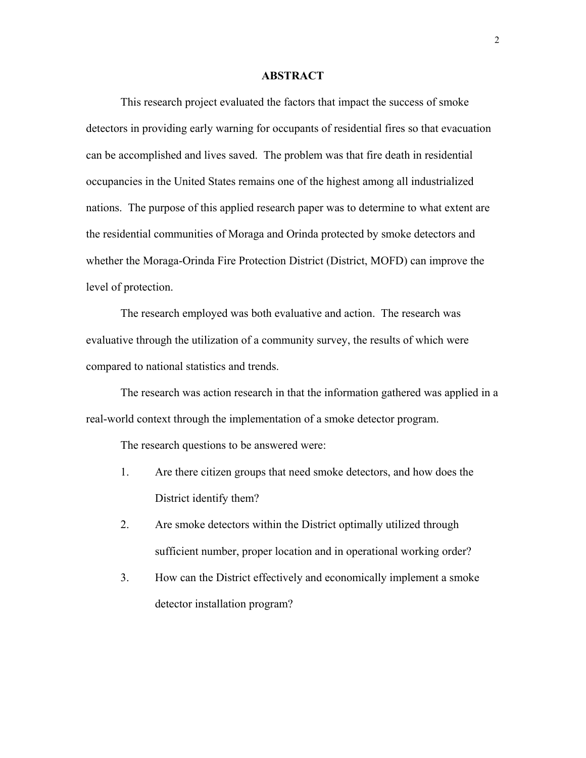## **ABSTRACT**

This research project evaluated the factors that impact the success of smoke detectors in providing early warning for occupants of residential fires so that evacuation can be accomplished and lives saved. The problem was that fire death in residential occupancies in the United States remains one of the highest among all industrialized nations. The purpose of this applied research paper was to determine to what extent are the residential communities of Moraga and Orinda protected by smoke detectors and whether the Moraga-Orinda Fire Protection District (District, MOFD) can improve the level of protection.

 The research employed was both evaluative and action. The research was evaluative through the utilization of a community survey, the results of which were compared to national statistics and trends.

 The research was action research in that the information gathered was applied in a real-world context through the implementation of a smoke detector program.

The research questions to be answered were:

- 1. Are there citizen groups that need smoke detectors, and how does the District identify them?
- 2. Are smoke detectors within the District optimally utilized through sufficient number, proper location and in operational working order?
- 3. How can the District effectively and economically implement a smoke detector installation program?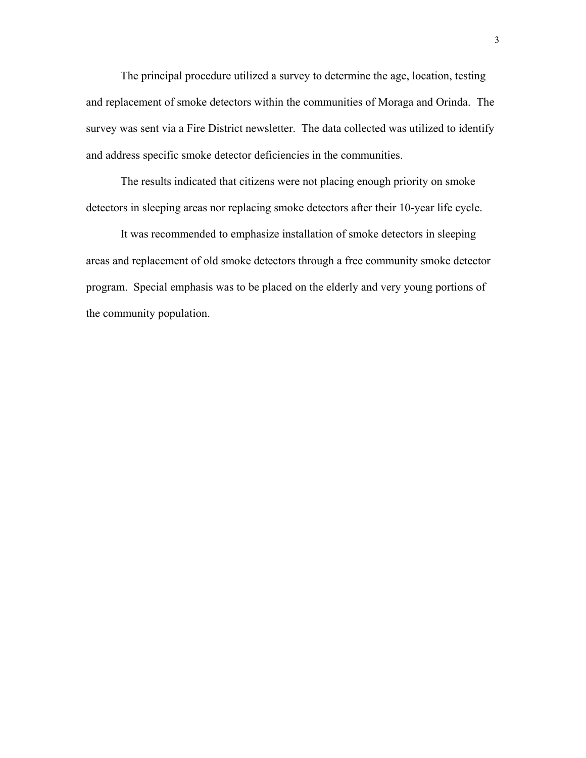The principal procedure utilized a survey to determine the age, location, testing and replacement of smoke detectors within the communities of Moraga and Orinda. The survey was sent via a Fire District newsletter. The data collected was utilized to identify and address specific smoke detector deficiencies in the communities.

The results indicated that citizens were not placing enough priority on smoke detectors in sleeping areas nor replacing smoke detectors after their 10-year life cycle.

It was recommended to emphasize installation of smoke detectors in sleeping areas and replacement of old smoke detectors through a free community smoke detector program. Special emphasis was to be placed on the elderly and very young portions of the community population.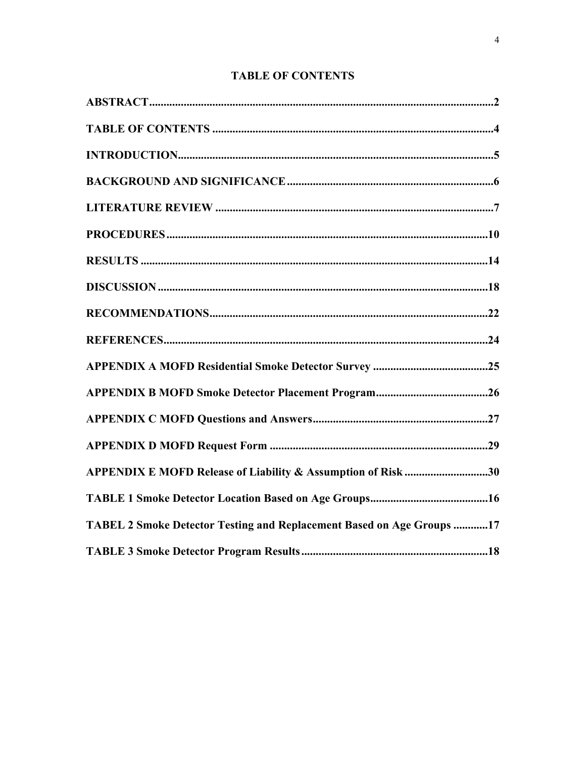# **TABLE OF CONTENTS**

| APPENDIX E MOFD Release of Liability & Assumption of Risk 30          |
|-----------------------------------------------------------------------|
|                                                                       |
| TABEL 2 Smoke Detector Testing and Replacement Based on Age Groups 17 |
|                                                                       |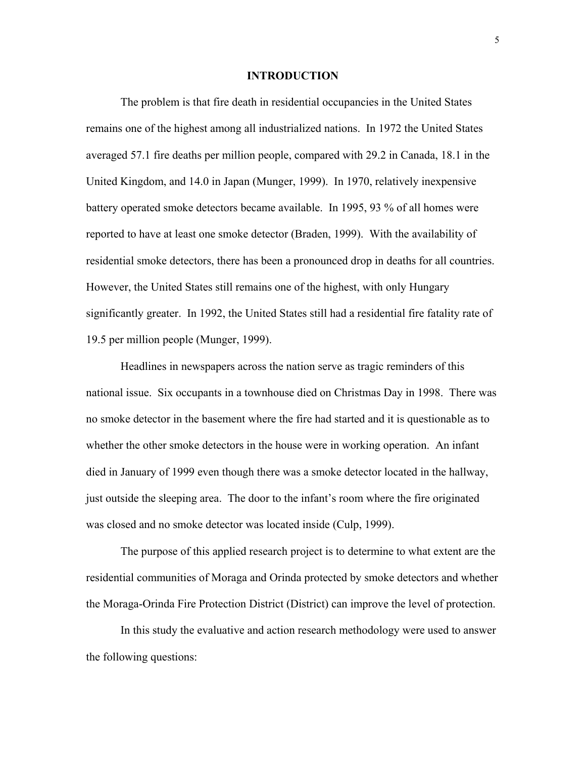## **INTRODUCTION**

 The problem is that fire death in residential occupancies in the United States remains one of the highest among all industrialized nations. In 1972 the United States averaged 57.1 fire deaths per million people, compared with 29.2 in Canada, 18.1 in the United Kingdom, and 14.0 in Japan (Munger, 1999). In 1970, relatively inexpensive battery operated smoke detectors became available. In 1995, 93 % of all homes were reported to have at least one smoke detector (Braden, 1999). With the availability of residential smoke detectors, there has been a pronounced drop in deaths for all countries. However, the United States still remains one of the highest, with only Hungary significantly greater. In 1992, the United States still had a residential fire fatality rate of 19.5 per million people (Munger, 1999).

Headlines in newspapers across the nation serve as tragic reminders of this national issue. Six occupants in a townhouse died on Christmas Day in 1998. There was no smoke detector in the basement where the fire had started and it is questionable as to whether the other smoke detectors in the house were in working operation. An infant died in January of 1999 even though there was a smoke detector located in the hallway, just outside the sleeping area. The door to the infant's room where the fire originated was closed and no smoke detector was located inside (Culp, 1999).

 The purpose of this applied research project is to determine to what extent are the residential communities of Moraga and Orinda protected by smoke detectors and whether the Moraga-Orinda Fire Protection District (District) can improve the level of protection.

 In this study the evaluative and action research methodology were used to answer the following questions: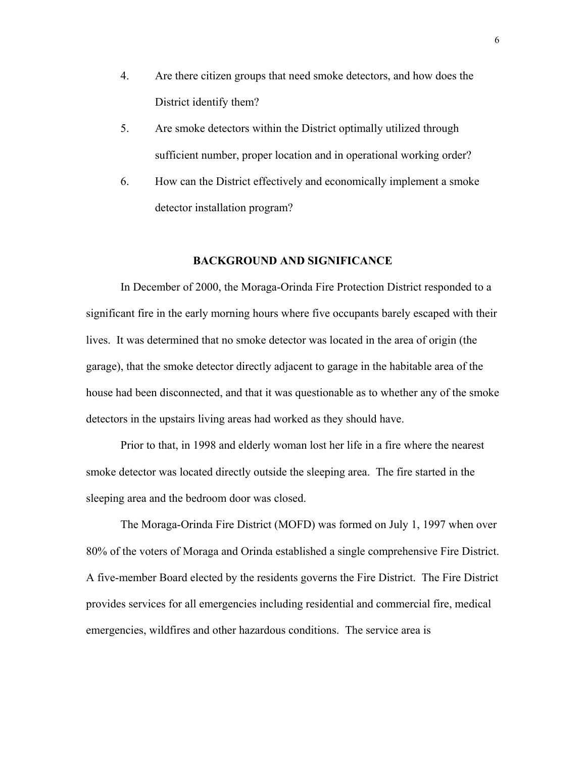- 4. Are there citizen groups that need smoke detectors, and how does the District identify them?
- 5. Are smoke detectors within the District optimally utilized through sufficient number, proper location and in operational working order?
- 6. How can the District effectively and economically implement a smoke detector installation program?

## **BACKGROUND AND SIGNIFICANCE**

 In December of 2000, the Moraga-Orinda Fire Protection District responded to a significant fire in the early morning hours where five occupants barely escaped with their lives. It was determined that no smoke detector was located in the area of origin (the garage), that the smoke detector directly adjacent to garage in the habitable area of the house had been disconnected, and that it was questionable as to whether any of the smoke detectors in the upstairs living areas had worked as they should have.

 Prior to that, in 1998 and elderly woman lost her life in a fire where the nearest smoke detector was located directly outside the sleeping area. The fire started in the sleeping area and the bedroom door was closed.

 The Moraga-Orinda Fire District (MOFD) was formed on July 1, 1997 when over 80% of the voters of Moraga and Orinda established a single comprehensive Fire District. A five-member Board elected by the residents governs the Fire District. The Fire District provides services for all emergencies including residential and commercial fire, medical emergencies, wildfires and other hazardous conditions. The service area is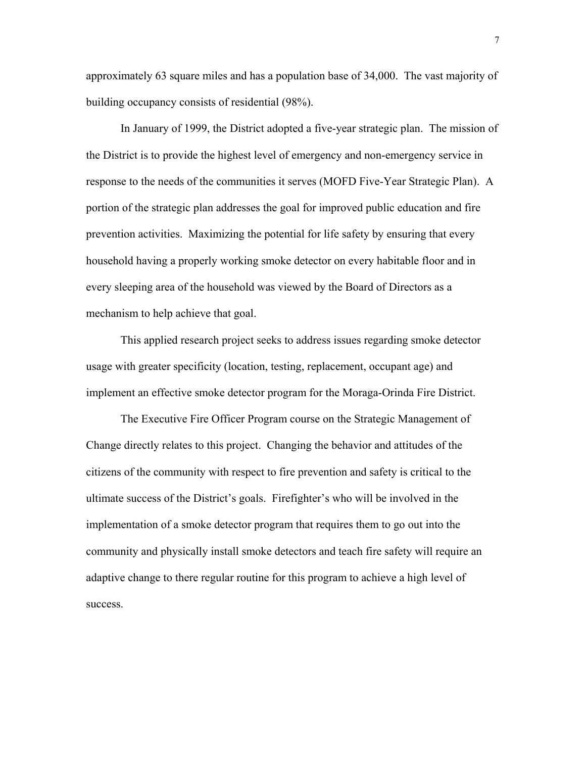approximately 63 square miles and has a population base of 34,000. The vast majority of building occupancy consists of residential (98%).

 In January of 1999, the District adopted a five-year strategic plan. The mission of the District is to provide the highest level of emergency and non-emergency service in response to the needs of the communities it serves (MOFD Five-Year Strategic Plan). A portion of the strategic plan addresses the goal for improved public education and fire prevention activities. Maximizing the potential for life safety by ensuring that every household having a properly working smoke detector on every habitable floor and in every sleeping area of the household was viewed by the Board of Directors as a mechanism to help achieve that goal.

 This applied research project seeks to address issues regarding smoke detector usage with greater specificity (location, testing, replacement, occupant age) and implement an effective smoke detector program for the Moraga-Orinda Fire District.

 The Executive Fire Officer Program course on the Strategic Management of Change directly relates to this project. Changing the behavior and attitudes of the citizens of the community with respect to fire prevention and safety is critical to the ultimate success of the District's goals. Firefighter's who will be involved in the implementation of a smoke detector program that requires them to go out into the community and physically install smoke detectors and teach fire safety will require an adaptive change to there regular routine for this program to achieve a high level of success.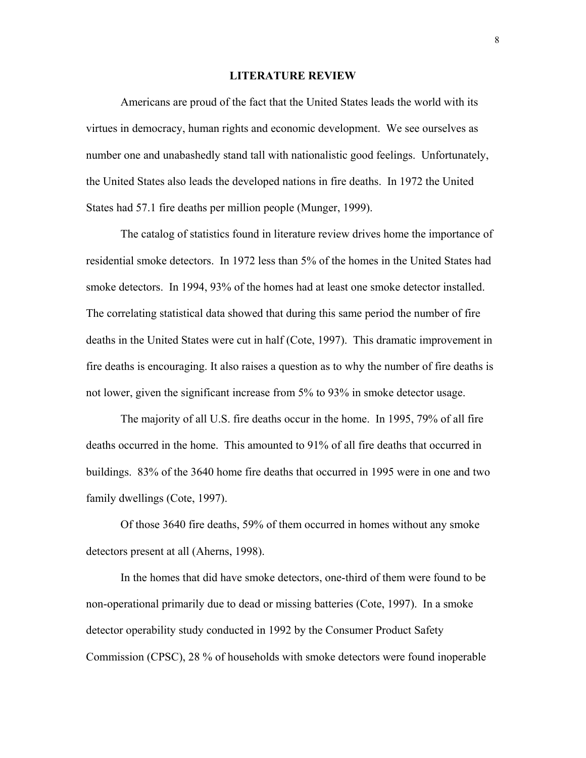## **LITERATURE REVIEW**

 Americans are proud of the fact that the United States leads the world with its virtues in democracy, human rights and economic development. We see ourselves as number one and unabashedly stand tall with nationalistic good feelings. Unfortunately, the United States also leads the developed nations in fire deaths. In 1972 the United States had 57.1 fire deaths per million people (Munger, 1999).

The catalog of statistics found in literature review drives home the importance of residential smoke detectors. In 1972 less than 5% of the homes in the United States had smoke detectors. In 1994, 93% of the homes had at least one smoke detector installed. The correlating statistical data showed that during this same period the number of fire deaths in the United States were cut in half (Cote, 1997). This dramatic improvement in fire deaths is encouraging. It also raises a question as to why the number of fire deaths is not lower, given the significant increase from 5% to 93% in smoke detector usage.

The majority of all U.S. fire deaths occur in the home. In 1995, 79% of all fire deaths occurred in the home. This amounted to 91% of all fire deaths that occurred in buildings. 83% of the 3640 home fire deaths that occurred in 1995 were in one and two family dwellings (Cote, 1997).

Of those 3640 fire deaths, 59% of them occurred in homes without any smoke detectors present at all (Aherns, 1998).

In the homes that did have smoke detectors, one-third of them were found to be non-operational primarily due to dead or missing batteries (Cote, 1997). In a smoke detector operability study conducted in 1992 by the Consumer Product Safety Commission (CPSC), 28 % of households with smoke detectors were found inoperable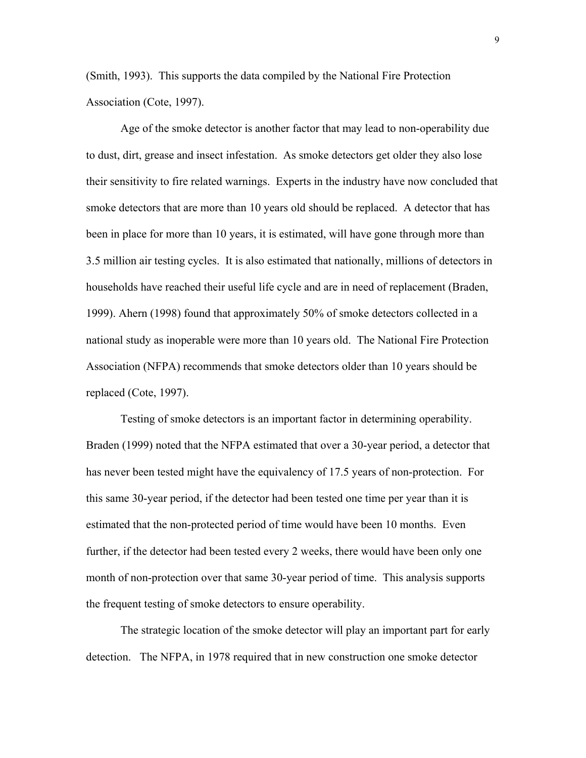(Smith, 1993). This supports the data compiled by the National Fire Protection Association (Cote, 1997).

Age of the smoke detector is another factor that may lead to non-operability due to dust, dirt, grease and insect infestation. As smoke detectors get older they also lose their sensitivity to fire related warnings. Experts in the industry have now concluded that smoke detectors that are more than 10 years old should be replaced. A detector that has been in place for more than 10 years, it is estimated, will have gone through more than 3.5 million air testing cycles. It is also estimated that nationally, millions of detectors in households have reached their useful life cycle and are in need of replacement (Braden, 1999). Ahern (1998) found that approximately 50% of smoke detectors collected in a national study as inoperable were more than 10 years old. The National Fire Protection Association (NFPA) recommends that smoke detectors older than 10 years should be replaced (Cote, 1997).

Testing of smoke detectors is an important factor in determining operability. Braden (1999) noted that the NFPA estimated that over a 30-year period, a detector that has never been tested might have the equivalency of 17.5 years of non-protection. For this same 30-year period, if the detector had been tested one time per year than it is estimated that the non-protected period of time would have been 10 months. Even further, if the detector had been tested every 2 weeks, there would have been only one month of non-protection over that same 30-year period of time. This analysis supports the frequent testing of smoke detectors to ensure operability.

The strategic location of the smoke detector will play an important part for early detection. The NFPA, in 1978 required that in new construction one smoke detector

9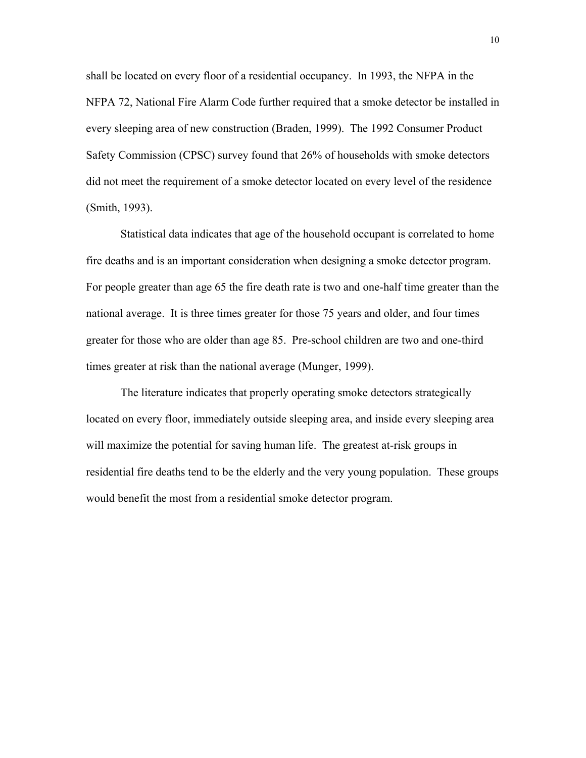shall be located on every floor of a residential occupancy. In 1993, the NFPA in the NFPA 72, National Fire Alarm Code further required that a smoke detector be installed in every sleeping area of new construction (Braden, 1999). The 1992 Consumer Product Safety Commission (CPSC) survey found that 26% of households with smoke detectors did not meet the requirement of a smoke detector located on every level of the residence (Smith, 1993).

Statistical data indicates that age of the household occupant is correlated to home fire deaths and is an important consideration when designing a smoke detector program. For people greater than age 65 the fire death rate is two and one-half time greater than the national average. It is three times greater for those 75 years and older, and four times greater for those who are older than age 85. Pre-school children are two and one-third times greater at risk than the national average (Munger, 1999).

The literature indicates that properly operating smoke detectors strategically located on every floor, immediately outside sleeping area, and inside every sleeping area will maximize the potential for saving human life. The greatest at-risk groups in residential fire deaths tend to be the elderly and the very young population. These groups would benefit the most from a residential smoke detector program.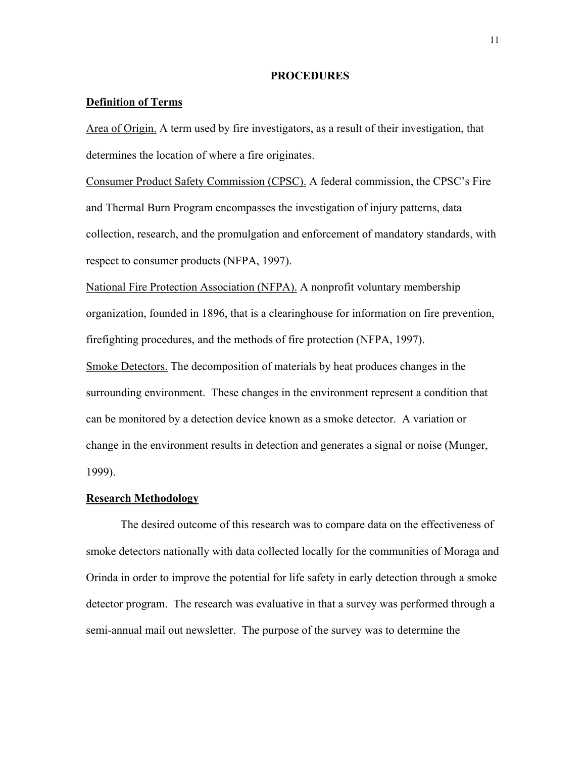## **PROCEDURES**

## **Definition of Terms**

Area of Origin. A term used by fire investigators, as a result of their investigation, that determines the location of where a fire originates.

Consumer Product Safety Commission (CPSC). A federal commission, the CPSC's Fire and Thermal Burn Program encompasses the investigation of injury patterns, data collection, research, and the promulgation and enforcement of mandatory standards, with respect to consumer products (NFPA, 1997).

National Fire Protection Association (NFPA). A nonprofit voluntary membership organization, founded in 1896, that is a clearinghouse for information on fire prevention, firefighting procedures, and the methods of fire protection (NFPA, 1997).

Smoke Detectors. The decomposition of materials by heat produces changes in the surrounding environment. These changes in the environment represent a condition that can be monitored by a detection device known as a smoke detector. A variation or change in the environment results in detection and generates a signal or noise (Munger, 1999).

## **Research Methodology**

 The desired outcome of this research was to compare data on the effectiveness of smoke detectors nationally with data collected locally for the communities of Moraga and Orinda in order to improve the potential for life safety in early detection through a smoke detector program. The research was evaluative in that a survey was performed through a semi-annual mail out newsletter. The purpose of the survey was to determine the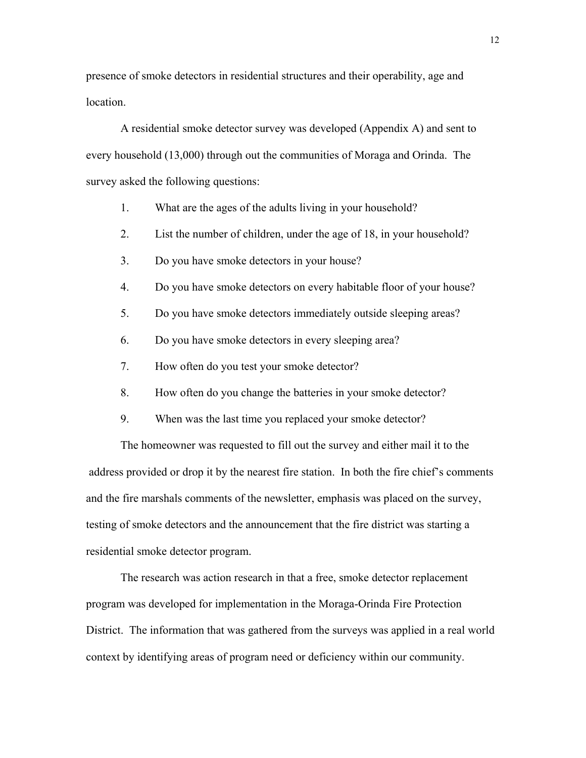presence of smoke detectors in residential structures and their operability, age and location.

 A residential smoke detector survey was developed (Appendix A) and sent to every household (13,000) through out the communities of Moraga and Orinda. The survey asked the following questions:

- 1. What are the ages of the adults living in your household?
- 2. List the number of children, under the age of 18, in your household?
- 3. Do you have smoke detectors in your house?
- 4. Do you have smoke detectors on every habitable floor of your house?
- 5. Do you have smoke detectors immediately outside sleeping areas?
- 6. Do you have smoke detectors in every sleeping area?
- 7. How often do you test your smoke detector?
- 8. How often do you change the batteries in your smoke detector?
- 9. When was the last time you replaced your smoke detector?

The homeowner was requested to fill out the survey and either mail it to the address provided or drop it by the nearest fire station. In both the fire chief's comments and the fire marshals comments of the newsletter, emphasis was placed on the survey, testing of smoke detectors and the announcement that the fire district was starting a residential smoke detector program.

 The research was action research in that a free, smoke detector replacement program was developed for implementation in the Moraga-Orinda Fire Protection District. The information that was gathered from the surveys was applied in a real world context by identifying areas of program need or deficiency within our community.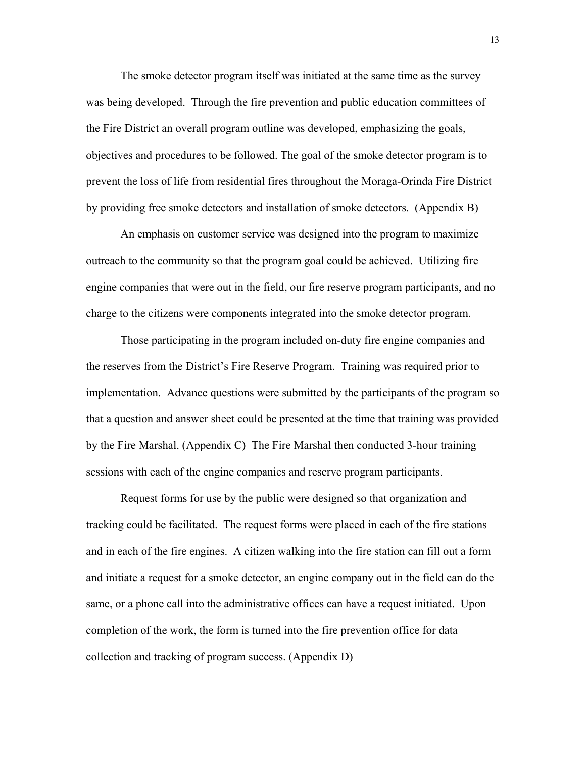The smoke detector program itself was initiated at the same time as the survey was being developed. Through the fire prevention and public education committees of the Fire District an overall program outline was developed, emphasizing the goals, objectives and procedures to be followed. The goal of the smoke detector program is to prevent the loss of life from residential fires throughout the Moraga-Orinda Fire District by providing free smoke detectors and installation of smoke detectors. (Appendix B)

An emphasis on customer service was designed into the program to maximize outreach to the community so that the program goal could be achieved. Utilizing fire engine companies that were out in the field, our fire reserve program participants, and no charge to the citizens were components integrated into the smoke detector program.

Those participating in the program included on-duty fire engine companies and the reserves from the District's Fire Reserve Program. Training was required prior to implementation. Advance questions were submitted by the participants of the program so that a question and answer sheet could be presented at the time that training was provided by the Fire Marshal. (Appendix C) The Fire Marshal then conducted 3-hour training sessions with each of the engine companies and reserve program participants.

Request forms for use by the public were designed so that organization and tracking could be facilitated. The request forms were placed in each of the fire stations and in each of the fire engines. A citizen walking into the fire station can fill out a form and initiate a request for a smoke detector, an engine company out in the field can do the same, or a phone call into the administrative offices can have a request initiated. Upon completion of the work, the form is turned into the fire prevention office for data collection and tracking of program success. (Appendix D)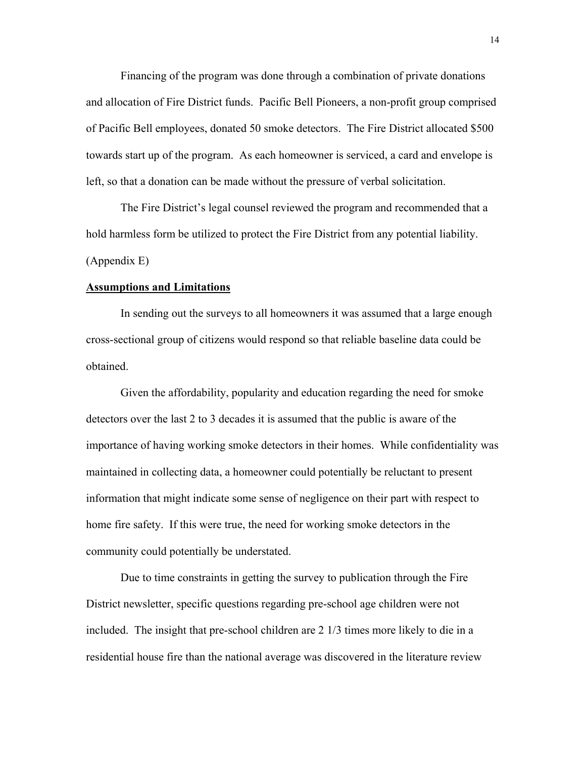Financing of the program was done through a combination of private donations and allocation of Fire District funds. Pacific Bell Pioneers, a non-profit group comprised of Pacific Bell employees, donated 50 smoke detectors. The Fire District allocated \$500 towards start up of the program. As each homeowner is serviced, a card and envelope is left, so that a donation can be made without the pressure of verbal solicitation.

The Fire District's legal counsel reviewed the program and recommended that a hold harmless form be utilized to protect the Fire District from any potential liability. (Appendix E)

### **Assumptions and Limitations**

 In sending out the surveys to all homeowners it was assumed that a large enough cross-sectional group of citizens would respond so that reliable baseline data could be obtained.

 Given the affordability, popularity and education regarding the need for smoke detectors over the last 2 to 3 decades it is assumed that the public is aware of the importance of having working smoke detectors in their homes. While confidentiality was maintained in collecting data, a homeowner could potentially be reluctant to present information that might indicate some sense of negligence on their part with respect to home fire safety. If this were true, the need for working smoke detectors in the community could potentially be understated.

 Due to time constraints in getting the survey to publication through the Fire District newsletter, specific questions regarding pre-school age children were not included. The insight that pre-school children are 2 1/3 times more likely to die in a residential house fire than the national average was discovered in the literature review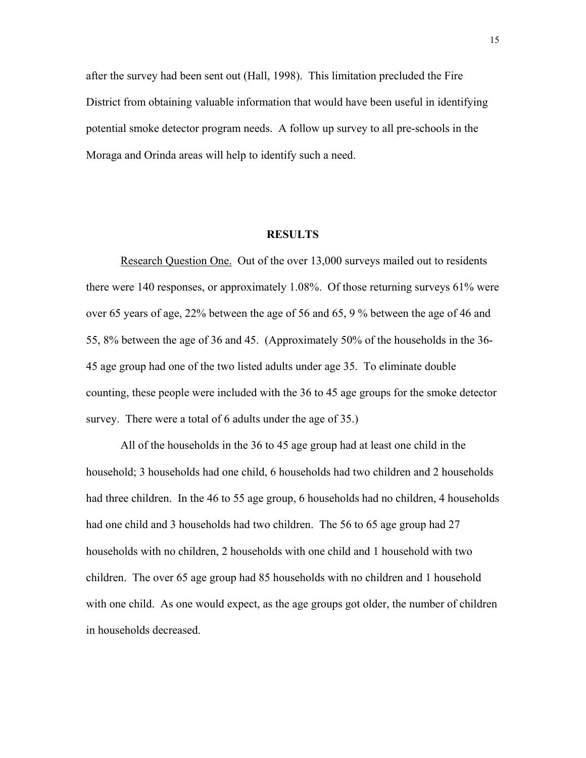after the survey had been sent out (Hall, 1998). This limitation precluded the Fire District from obtaining valuable information that would have been useful in identifying potential smoke detector program needs. A follow up survey to all pre-schools in the Moraga and Orinda areas will help to identify such a need.

#### **RESULTS**

Research Question One. Out of the over 13,000 surveys mailed out to residents there were 140 responses, or approximately 1.08%. Of those returning surveys 61% were over 65 years of age, 22% between the age of 56 and 65, 9 % between the age of 46 and 55, 8% between the age of 36 and 45. (Approximately 50% of the households in the 36- 45 age group had one of the two listed adults under age 35. To eliminate double counting, these people were included with the 36 to 45 age groups for the smoke detector survey. There were a total of 6 adults under the age of 35.)

 All of the households in the 36 to 45 age group had at least one child in the household; 3 households had one child, 6 households had two children and 2 households had three children. In the 46 to 55 age group, 6 households had no children, 4 households had one child and 3 households had two children. The 56 to 65 age group had 27 households with no children, 2 households with one child and 1 household with two children. The over 65 age group had 85 households with no children and 1 household with one child. As one would expect, as the age groups got older, the number of children in households decreased.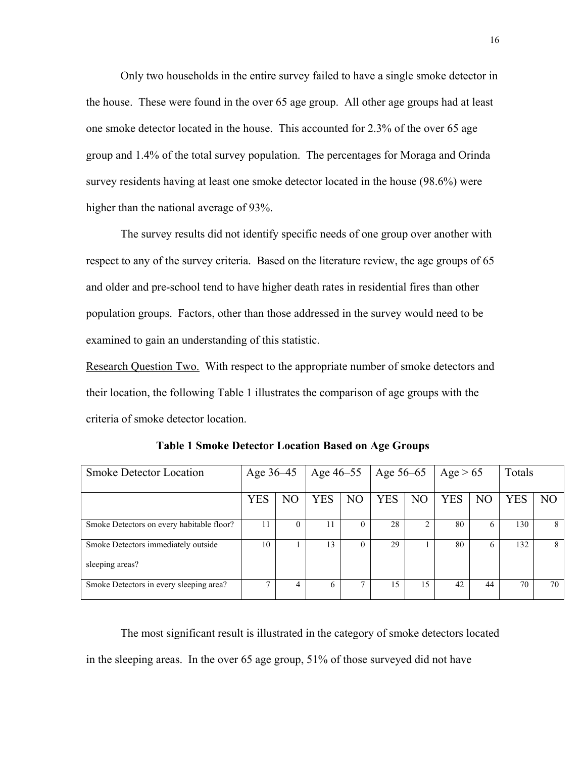Only two households in the entire survey failed to have a single smoke detector in the house. These were found in the over 65 age group. All other age groups had at least one smoke detector located in the house. This accounted for 2.3% of the over 65 age group and 1.4% of the total survey population. The percentages for Moraga and Orinda survey residents having at least one smoke detector located in the house (98.6%) were higher than the national average of 93%.

 The survey results did not identify specific needs of one group over another with respect to any of the survey criteria. Based on the literature review, the age groups of 65 and older and pre-school tend to have higher death rates in residential fires than other population groups. Factors, other than those addressed in the survey would need to be examined to gain an understanding of this statistic.

Research Question Two. With respect to the appropriate number of smoke detectors and their location, the following Table 1 illustrates the comparison of age groups with the criteria of smoke detector location.

| <b>Smoke Detector Location</b>            | Age 36–45  |                | Age 46–55  |                | Age 56–65  |                | Age $> 65$ |                | Totals     |                |
|-------------------------------------------|------------|----------------|------------|----------------|------------|----------------|------------|----------------|------------|----------------|
|                                           | <b>YES</b> | N <sub>O</sub> | <b>YES</b> | N <sub>O</sub> | <b>YES</b> | N <sub>O</sub> | YES        | N <sub>O</sub> | <b>YES</b> | N <sub>O</sub> |
| Smoke Detectors on every habitable floor? | 11         | 0              | 11         |                | 28         |                | 80         | 6              | 130        | 8              |
| Smoke Detectors immediately outside       | 10         |                | 13         |                | 29         |                | 80         | h              | 132        | 8              |
| sleeping areas?                           |            |                |            |                |            |                |            |                |            |                |
| Smoke Detectors in every sleeping area?   |            | 4              | 6          |                | 15         | 15             | 42.        | 44             | 70         | 70             |

**Table 1 Smoke Detector Location Based on Age Groups** 

 The most significant result is illustrated in the category of smoke detectors located in the sleeping areas. In the over 65 age group, 51% of those surveyed did not have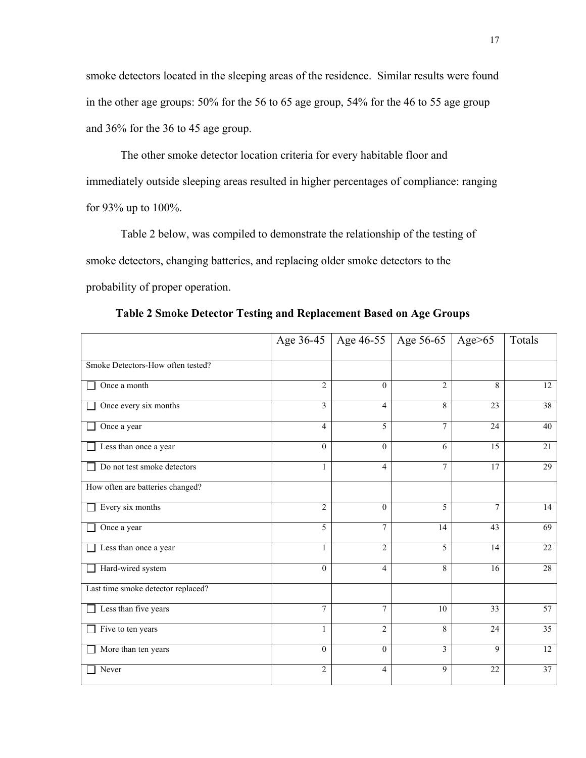smoke detectors located in the sleeping areas of the residence. Similar results were found in the other age groups: 50% for the 56 to 65 age group, 54% for the 46 to 55 age group and 36% for the 36 to 45 age group.

 The other smoke detector location criteria for every habitable floor and immediately outside sleeping areas resulted in higher percentages of compliance: ranging for 93% up to 100%.

 Table 2 below, was compiled to demonstrate the relationship of the testing of smoke detectors, changing batteries, and replacing older smoke detectors to the probability of proper operation.

|                                    |                  | Age 36-45   Age 46-55   Age 56-65 |                | Age $>65$      | Totals          |
|------------------------------------|------------------|-----------------------------------|----------------|----------------|-----------------|
| Smoke Detectors-How often tested?  |                  |                                   |                |                |                 |
| Once a month                       | $\overline{2}$   | $\theta$                          | $\overline{2}$ | 8              | $\overline{12}$ |
| Once every six months              | $\mathfrak{Z}$   | $\overline{4}$                    | 8              | 23             | 38              |
| Once a year                        | $\overline{4}$   | 5                                 | $\overline{7}$ | 24             | 40              |
| Less than once a year              | $\overline{0}$   | $\theta$                          | 6              | 15             | 21              |
| Do not test smoke detectors        | $\mathbf{1}$     | 4                                 | $\tau$         | 17             | $\overline{29}$ |
| How often are batteries changed?   |                  |                                   |                |                |                 |
| Every six months                   | $\overline{2}$   | $\theta$                          | 5              | $\overline{7}$ | 14              |
| Once a year                        | $\overline{5}$   | $\overline{7}$                    | 14             | 43             | 69              |
| Less than once a year              | $\mathbf{1}$     | $\overline{2}$                    | 5              | 14             | 22              |
| Hard-wired system                  | $\boldsymbol{0}$ | 4                                 | 8              | 16             | 28              |
| Last time smoke detector replaced? |                  |                                   |                |                |                 |
| Less than five years               | $\overline{7}$   | 7                                 | 10             | 33             | $\overline{57}$ |
| Five to ten years                  | 1                | $\overline{2}$                    | 8              | 24             | $\overline{35}$ |
| More than ten years                | $\theta$         | $\Omega$                          | 3              | 9              | $\overline{12}$ |
| Never                              | $\overline{c}$   | $\overline{4}$                    | 9              | 22             | 37              |

**Table 2 Smoke Detector Testing and Replacement Based on Age Groups**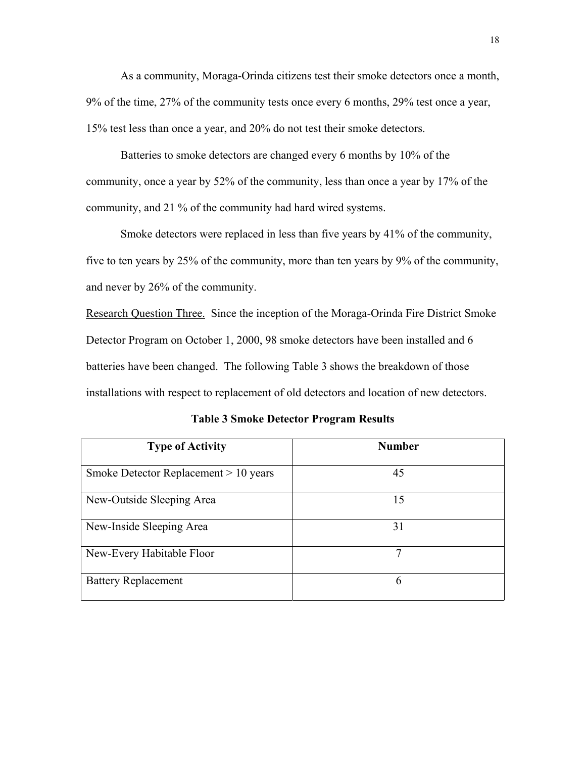As a community, Moraga-Orinda citizens test their smoke detectors once a month, 9% of the time, 27% of the community tests once every 6 months, 29% test once a year, 15% test less than once a year, and 20% do not test their smoke detectors.

 Batteries to smoke detectors are changed every 6 months by 10% of the community, once a year by 52% of the community, less than once a year by 17% of the community, and 21 % of the community had hard wired systems.

 Smoke detectors were replaced in less than five years by 41% of the community, five to ten years by 25% of the community, more than ten years by 9% of the community, and never by 26% of the community.

Research Question Three. Since the inception of the Moraga-Orinda Fire District Smoke Detector Program on October 1, 2000, 98 smoke detectors have been installed and 6 batteries have been changed. The following Table 3 shows the breakdown of those installations with respect to replacement of old detectors and location of new detectors.

| <b>Type of Activity</b>                 | <b>Number</b> |
|-----------------------------------------|---------------|
| Smoke Detector Replacement $> 10$ years | 45            |
| New-Outside Sleeping Area               | 15            |
| New-Inside Sleeping Area                | 31            |
| New-Every Habitable Floor               | 7             |
| <b>Battery Replacement</b>              | 6             |

**Table 3 Smoke Detector Program Results**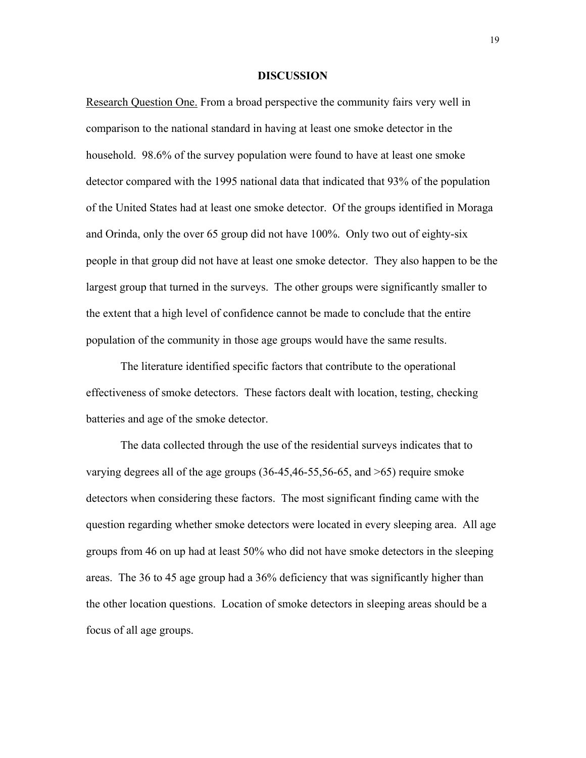## **DISCUSSION**

Research Question One. From a broad perspective the community fairs very well in comparison to the national standard in having at least one smoke detector in the household. 98.6% of the survey population were found to have at least one smoke detector compared with the 1995 national data that indicated that 93% of the population of the United States had at least one smoke detector. Of the groups identified in Moraga and Orinda, only the over 65 group did not have 100%. Only two out of eighty-six people in that group did not have at least one smoke detector. They also happen to be the largest group that turned in the surveys. The other groups were significantly smaller to the extent that a high level of confidence cannot be made to conclude that the entire population of the community in those age groups would have the same results.

 The literature identified specific factors that contribute to the operational effectiveness of smoke detectors. These factors dealt with location, testing, checking batteries and age of the smoke detector.

The data collected through the use of the residential surveys indicates that to varying degrees all of the age groups (36-45,46-55,56-65, and >65) require smoke detectors when considering these factors. The most significant finding came with the question regarding whether smoke detectors were located in every sleeping area. All age groups from 46 on up had at least 50% who did not have smoke detectors in the sleeping areas. The 36 to 45 age group had a 36% deficiency that was significantly higher than the other location questions. Location of smoke detectors in sleeping areas should be a focus of all age groups.

19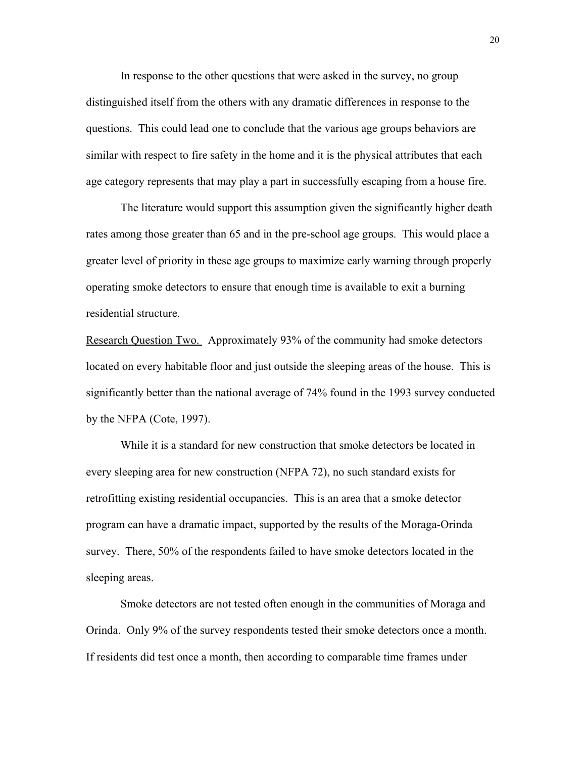In response to the other questions that were asked in the survey, no group distinguished itself from the others with any dramatic differences in response to the questions. This could lead one to conclude that the various age groups behaviors are similar with respect to fire safety in the home and it is the physical attributes that each age category represents that may play a part in successfully escaping from a house fire.

 The literature would support this assumption given the significantly higher death rates among those greater than 65 and in the pre-school age groups. This would place a greater level of priority in these age groups to maximize early warning through properly operating smoke detectors to ensure that enough time is available to exit a burning residential structure.

Research Question Two. Approximately 93% of the community had smoke detectors located on every habitable floor and just outside the sleeping areas of the house. This is significantly better than the national average of 74% found in the 1993 survey conducted by the NFPA (Cote, 1997).

 While it is a standard for new construction that smoke detectors be located in every sleeping area for new construction (NFPA 72), no such standard exists for retrofitting existing residential occupancies. This is an area that a smoke detector program can have a dramatic impact, supported by the results of the Moraga-Orinda survey. There, 50% of the respondents failed to have smoke detectors located in the sleeping areas.

Smoke detectors are not tested often enough in the communities of Moraga and Orinda. Only 9% of the survey respondents tested their smoke detectors once a month. If residents did test once a month, then according to comparable time frames under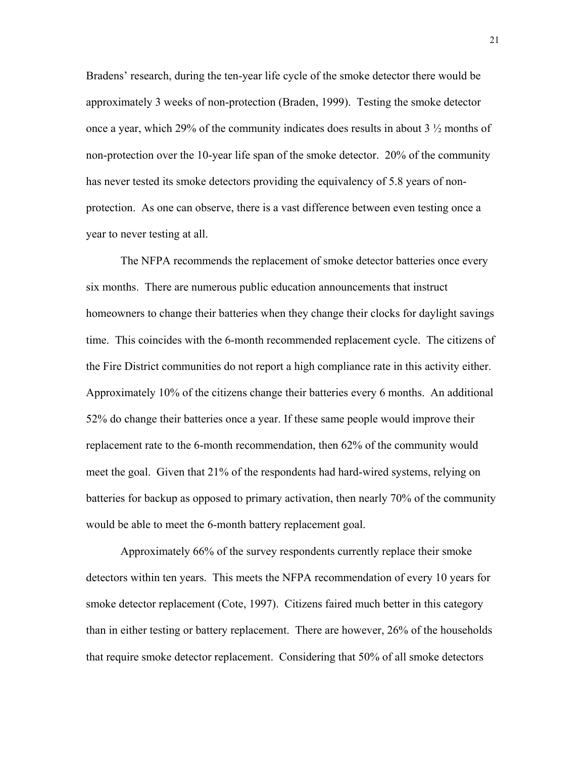Bradens' research, during the ten-year life cycle of the smoke detector there would be approximately 3 weeks of non-protection (Braden, 1999). Testing the smoke detector once a year, which 29% of the community indicates does results in about 3  $\frac{1}{2}$  months of non-protection over the 10-year life span of the smoke detector. 20% of the community has never tested its smoke detectors providing the equivalency of 5.8 years of nonprotection. As one can observe, there is a vast difference between even testing once a year to never testing at all.

 The NFPA recommends the replacement of smoke detector batteries once every six months. There are numerous public education announcements that instruct homeowners to change their batteries when they change their clocks for daylight savings time. This coincides with the 6-month recommended replacement cycle. The citizens of the Fire District communities do not report a high compliance rate in this activity either. Approximately 10% of the citizens change their batteries every 6 months. An additional 52% do change their batteries once a year. If these same people would improve their replacement rate to the 6-month recommendation, then 62% of the community would meet the goal. Given that 21% of the respondents had hard-wired systems, relying on batteries for backup as opposed to primary activation, then nearly 70% of the community would be able to meet the 6-month battery replacement goal.

 Approximately 66% of the survey respondents currently replace their smoke detectors within ten years. This meets the NFPA recommendation of every 10 years for smoke detector replacement (Cote, 1997). Citizens faired much better in this category than in either testing or battery replacement. There are however, 26% of the households that require smoke detector replacement. Considering that 50% of all smoke detectors

21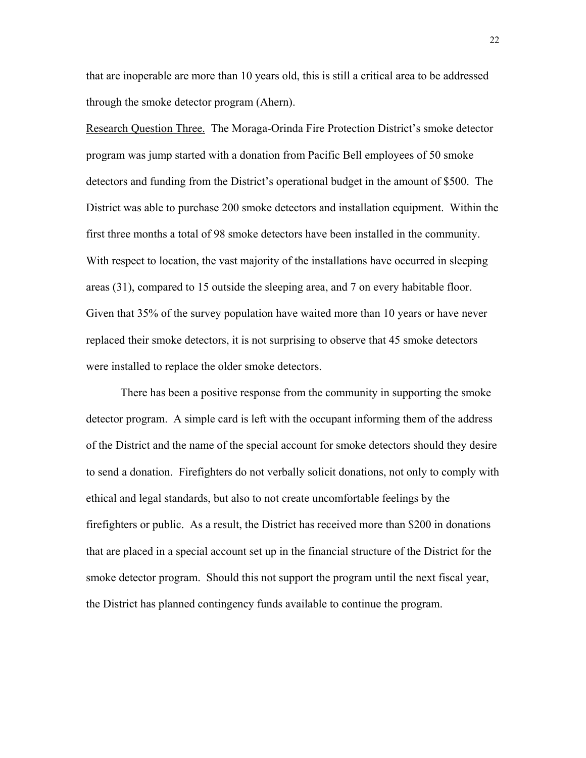that are inoperable are more than 10 years old, this is still a critical area to be addressed through the smoke detector program (Ahern).

Research Question Three. The Moraga-Orinda Fire Protection District's smoke detector program was jump started with a donation from Pacific Bell employees of 50 smoke detectors and funding from the District's operational budget in the amount of \$500. The District was able to purchase 200 smoke detectors and installation equipment. Within the first three months a total of 98 smoke detectors have been installed in the community. With respect to location, the vast majority of the installations have occurred in sleeping areas (31), compared to 15 outside the sleeping area, and 7 on every habitable floor. Given that 35% of the survey population have waited more than 10 years or have never replaced their smoke detectors, it is not surprising to observe that 45 smoke detectors were installed to replace the older smoke detectors.

 There has been a positive response from the community in supporting the smoke detector program. A simple card is left with the occupant informing them of the address of the District and the name of the special account for smoke detectors should they desire to send a donation. Firefighters do not verbally solicit donations, not only to comply with ethical and legal standards, but also to not create uncomfortable feelings by the firefighters or public. As a result, the District has received more than \$200 in donations that are placed in a special account set up in the financial structure of the District for the smoke detector program. Should this not support the program until the next fiscal year, the District has planned contingency funds available to continue the program.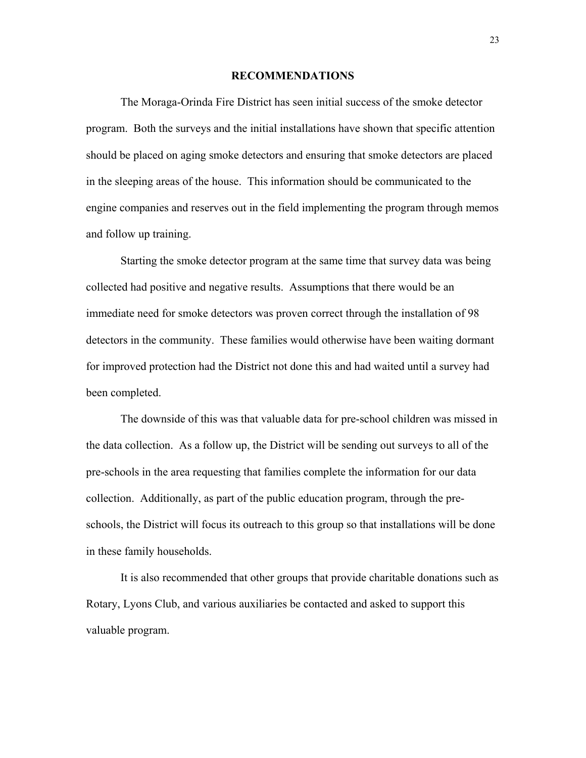## **RECOMMENDATIONS**

 The Moraga-Orinda Fire District has seen initial success of the smoke detector program. Both the surveys and the initial installations have shown that specific attention should be placed on aging smoke detectors and ensuring that smoke detectors are placed in the sleeping areas of the house. This information should be communicated to the engine companies and reserves out in the field implementing the program through memos and follow up training.

 Starting the smoke detector program at the same time that survey data was being collected had positive and negative results. Assumptions that there would be an immediate need for smoke detectors was proven correct through the installation of 98 detectors in the community. These families would otherwise have been waiting dormant for improved protection had the District not done this and had waited until a survey had been completed.

 The downside of this was that valuable data for pre-school children was missed in the data collection. As a follow up, the District will be sending out surveys to all of the pre-schools in the area requesting that families complete the information for our data collection. Additionally, as part of the public education program, through the preschools, the District will focus its outreach to this group so that installations will be done in these family households.

 It is also recommended that other groups that provide charitable donations such as Rotary, Lyons Club, and various auxiliaries be contacted and asked to support this valuable program.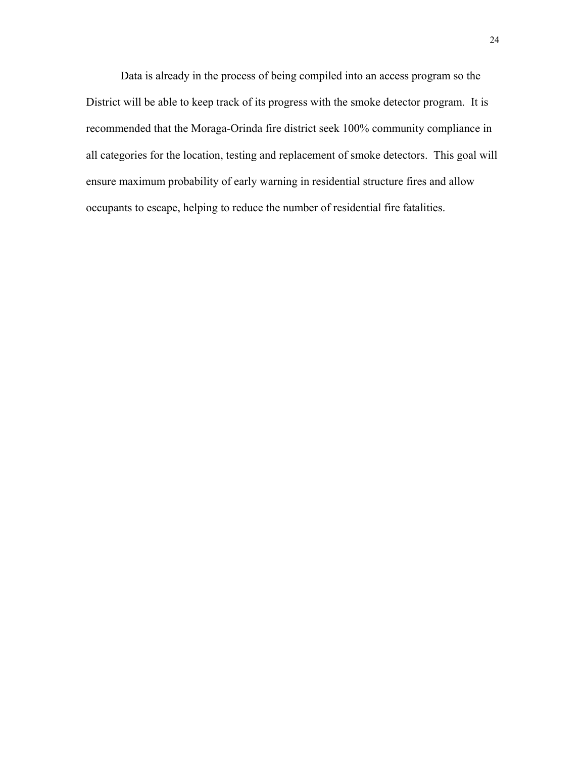Data is already in the process of being compiled into an access program so the District will be able to keep track of its progress with the smoke detector program. It is recommended that the Moraga-Orinda fire district seek 100% community compliance in all categories for the location, testing and replacement of smoke detectors. This goal will ensure maximum probability of early warning in residential structure fires and allow occupants to escape, helping to reduce the number of residential fire fatalities.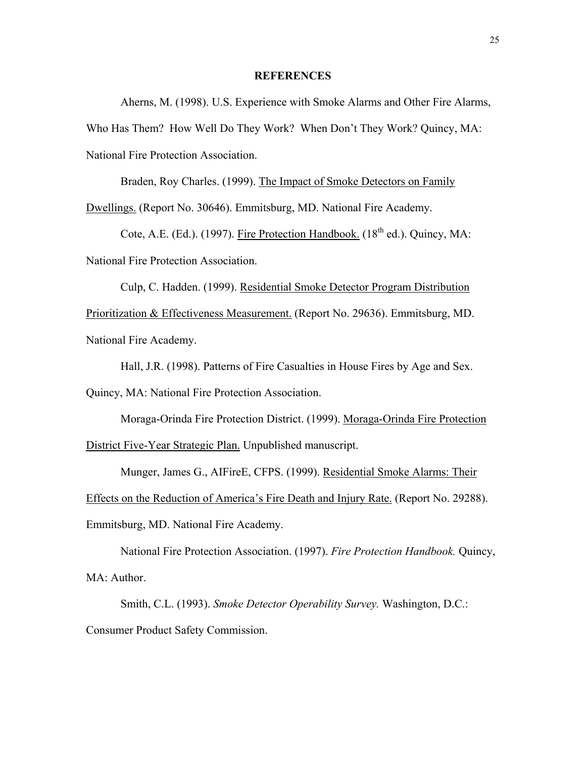## **REFERENCES**

 Aherns, M. (1998). U.S. Experience with Smoke Alarms and Other Fire Alarms, Who Has Them? How Well Do They Work? When Don't They Work? Quincy, MA: National Fire Protection Association.

 Braden, Roy Charles. (1999). The Impact of Smoke Detectors on Family Dwellings. (Report No. 30646). Emmitsburg, MD. National Fire Academy.

Cote, A.E. (Ed.). (1997). Fire Protection Handbook.  $(18<sup>th</sup>$  ed.). Quincy, MA: National Fire Protection Association.

 Culp, C. Hadden. (1999). Residential Smoke Detector Program Distribution Prioritization & Effectiveness Measurement. (Report No. 29636). Emmitsburg, MD. National Fire Academy.

Hall, J.R. (1998). Patterns of Fire Casualties in House Fires by Age and Sex.

Quincy, MA: National Fire Protection Association.

Moraga-Orinda Fire Protection District. (1999). Moraga-Orinda Fire Protection

District Five-Year Strategic Plan. Unpublished manuscript.

Munger, James G., AIFireE, CFPS. (1999). Residential Smoke Alarms: Their

Effects on the Reduction of America's Fire Death and Injury Rate. (Report No. 29288).

Emmitsburg, MD. National Fire Academy.

 National Fire Protection Association. (1997). *Fire Protection Handbook.* Quincy, MA: Author.

 Smith, C.L. (1993). *Smoke Detector Operability Survey.* Washington, D.C.: Consumer Product Safety Commission.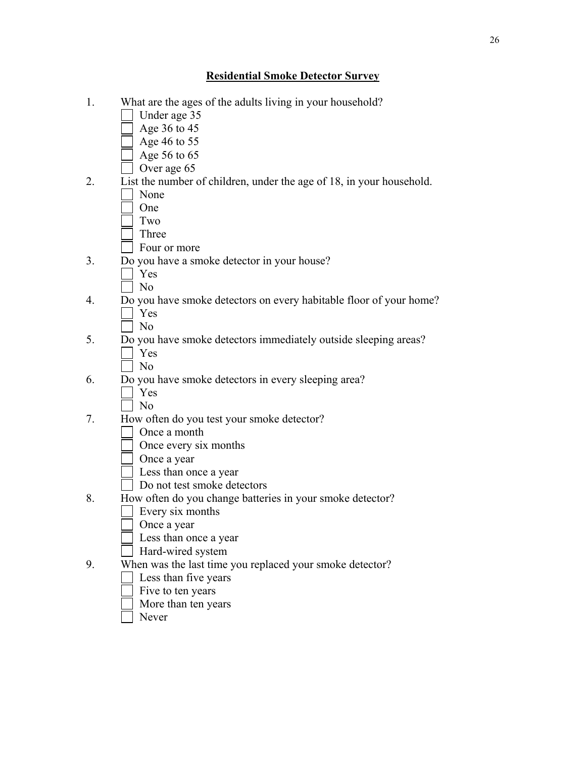# **Residential Smoke Detector Survey**

- 1. What are the ages of the adults living in your household? Under age 35 Age 36 to 45  $\sqrt{ }$  Age 46 to 55 Age 56 to 65 Over age 65 2. List the number of children, under the age of 18, in your household. None One Two Three **Four or more** 3. Do you have a smoke detector in your house? Yes No 4. Do you have smoke detectors on every habitable floor of your home? Yes No 5. Do you have smoke detectors immediately outside sleeping areas? Yes  $\blacksquare$  No 6. Do you have smoke detectors in every sleeping area? Yes N<sub>o</sub> 7. How often do you test your smoke detector? Once a month Once every six months Once a year Less than once a year Do not test smoke detectors 8. How often do you change batteries in your smoke detector? Every six months Once a year Less than once a year Hard-wired system 9. When was the last time you replaced your smoke detector? Less than five years Five to ten years
	- More than ten years
	- Never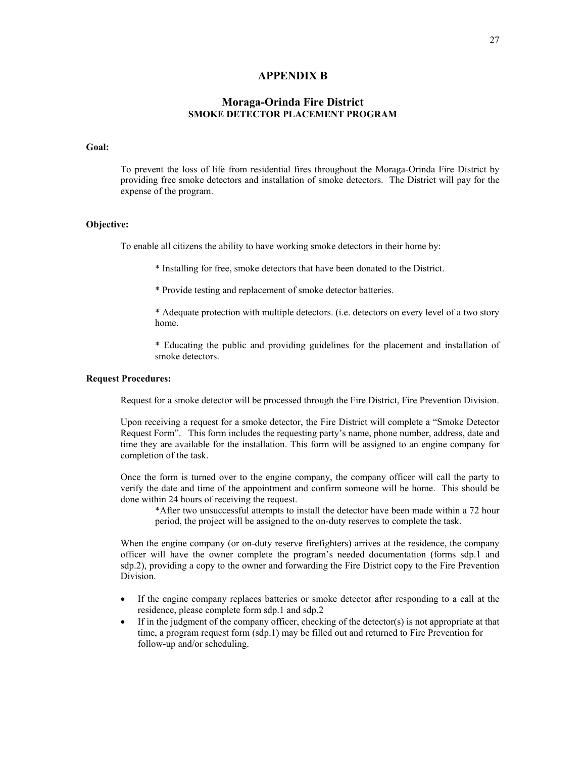#### **APPENDIX B**

## **Moraga-Orinda Fire District SMOKE DETECTOR PLACEMENT PROGRAM**

#### **Goal:**

 To prevent the loss of life from residential fires throughout the Moraga-Orinda Fire District by providing free smoke detectors and installation of smoke detectors. The District will pay for the expense of the program.

#### **Objective:**

To enable all citizens the ability to have working smoke detectors in their home by:

\* Installing for free, smoke detectors that have been donated to the District.

\* Provide testing and replacement of smoke detector batteries.

\* Adequate protection with multiple detectors. (i.e. detectors on every level of a two story home.

\* Educating the public and providing guidelines for the placement and installation of smoke detectors.

#### **Request Procedures:**

Request for a smoke detector will be processed through the Fire District, Fire Prevention Division.

 Upon receiving a request for a smoke detector, the Fire District will complete a "Smoke Detector Request Form". This form includes the requesting party's name, phone number, address, date and time they are available for the installation. This form will be assigned to an engine company for completion of the task.

 Once the form is turned over to the engine company, the company officer will call the party to verify the date and time of the appointment and confirm someone will be home. This should be done within 24 hours of receiving the request.

\*After two unsuccessful attempts to install the detector have been made within a 72 hour period, the project will be assigned to the on-duty reserves to complete the task.

 When the engine company (or on-duty reserve firefighters) arrives at the residence, the company officer will have the owner complete the program's needed documentation (forms sdp.1 and sdp.2), providing a copy to the owner and forwarding the Fire District copy to the Fire Prevention Division.

- If the engine company replaces batteries or smoke detector after responding to a call at the residence, please complete form sdp.1 and sdp.2
- If in the judgment of the company officer, checking of the detector(s) is not appropriate at that time, a program request form (sdp.1) may be filled out and returned to Fire Prevention for follow-up and/or scheduling.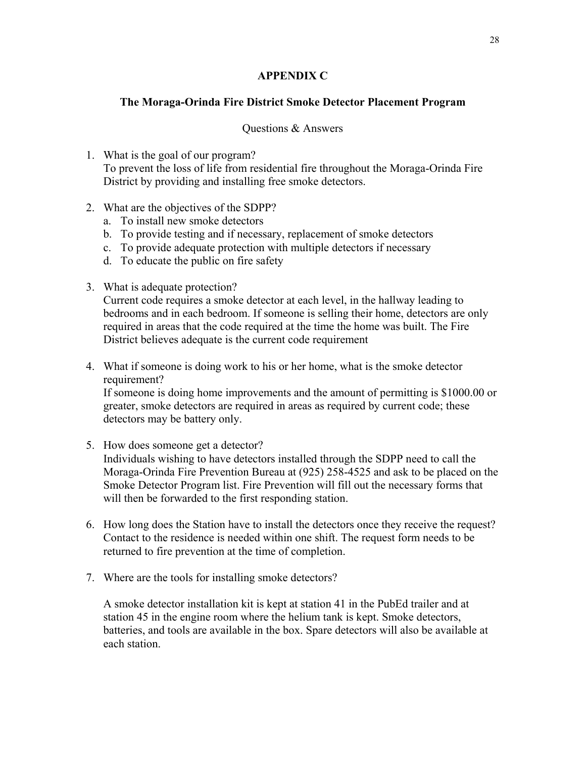# **APPENDIX C**

# **The Moraga-Orinda Fire District Smoke Detector Placement Program**

## Questions & Answers

- 1. What is the goal of our program? To prevent the loss of life from residential fire throughout the Moraga-Orinda Fire District by providing and installing free smoke detectors.
- 2. What are the objectives of the SDPP?
	- a. To install new smoke detectors
	- b. To provide testing and if necessary, replacement of smoke detectors
	- c. To provide adequate protection with multiple detectors if necessary
	- d. To educate the public on fire safety
- 3. What is adequate protection?

Current code requires a smoke detector at each level, in the hallway leading to bedrooms and in each bedroom. If someone is selling their home, detectors are only required in areas that the code required at the time the home was built. The Fire District believes adequate is the current code requirement

4. What if someone is doing work to his or her home, what is the smoke detector requirement?

If someone is doing home improvements and the amount of permitting is \$1000.00 or greater, smoke detectors are required in areas as required by current code; these detectors may be battery only.

5. How does someone get a detector?

Individuals wishing to have detectors installed through the SDPP need to call the Moraga-Orinda Fire Prevention Bureau at (925) 258-4525 and ask to be placed on the Smoke Detector Program list. Fire Prevention will fill out the necessary forms that will then be forwarded to the first responding station.

- 6. How long does the Station have to install the detectors once they receive the request? Contact to the residence is needed within one shift. The request form needs to be returned to fire prevention at the time of completion.
- 7. Where are the tools for installing smoke detectors?

A smoke detector installation kit is kept at station 41 in the PubEd trailer and at station 45 in the engine room where the helium tank is kept. Smoke detectors, batteries, and tools are available in the box. Spare detectors will also be available at each station.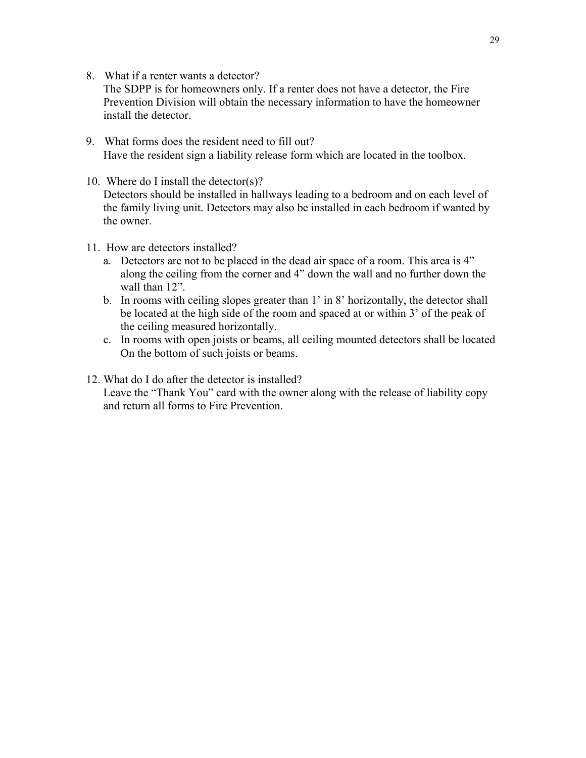8. What if a renter wants a detector?

The SDPP is for homeowners only. If a renter does not have a detector, the Fire Prevention Division will obtain the necessary information to have the homeowner install the detector.

- 9. What forms does the resident need to fill out? Have the resident sign a liability release form which are located in the toolbox.
- 10. Where do I install the detector(s)? Detectors should be installed in hallways leading to a bedroom and on each level of the family living unit. Detectors may also be installed in each bedroom if wanted by the owner.
- 11. How are detectors installed?
	- a. Detectors are not to be placed in the dead air space of a room. This area is 4" along the ceiling from the corner and 4" down the wall and no further down the wall than 12".
	- b. In rooms with ceiling slopes greater than 1' in 8' horizontally, the detector shall be located at the high side of the room and spaced at or within 3' of the peak of the ceiling measured horizontally.
	- c. In rooms with open joists or beams, all ceiling mounted detectors shall be located On the bottom of such joists or beams.

# 12. What do I do after the detector is installed?

Leave the "Thank You" card with the owner along with the release of liability copy and return all forms to Fire Prevention.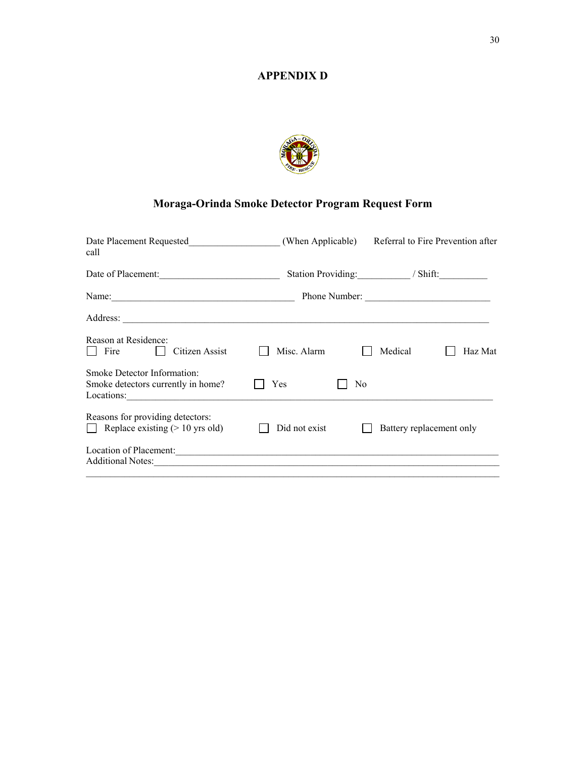# **APPENDIX D**



# **Moraga-Orinda Smoke Detector Program Request Form**

| call                                                                                                                                     |               |                |                              |  |  |  |
|------------------------------------------------------------------------------------------------------------------------------------------|---------------|----------------|------------------------------|--|--|--|
| Date of Placement:                                                                                                                       |               |                | Station Providing: // Shift: |  |  |  |
|                                                                                                                                          | Phone Number: |                |                              |  |  |  |
|                                                                                                                                          |               |                |                              |  |  |  |
| Reason at Residence:<br>Fire<br>Citizen Assist                                                                                           | Misc. Alarm   |                | Medical<br>Haz Mat           |  |  |  |
| <b>Smoke Detector Information:</b><br>Smoke detectors currently in home?<br>Locations:                                                   | Yes           | N <sub>0</sub> |                              |  |  |  |
| Reasons for providing detectors:<br>Replace existing $(>10 \text{ yrs old})$                                                             | Did not exist |                | Battery replacement only     |  |  |  |
| Location of Placement:<br>Additional Notes: 2008. 2009. 2009. 2010. 2010. 2010. 2010. 2010. 2010. 2010. 2010. 2010. 2010. 2010. 2010. 20 |               |                |                              |  |  |  |